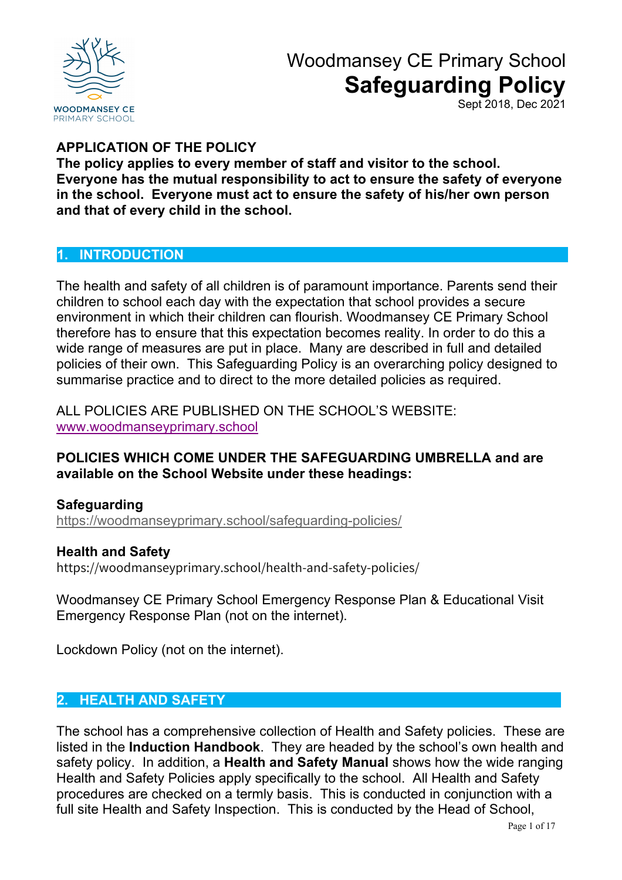

Sept 2018, Dec 2021

## **APPLICATION OF THE POLICY**

**The policy applies to every member of staff and visitor to the school. Everyone has the mutual responsibility to act to ensure the safety of everyone in the school. Everyone must act to ensure the safety of his/her own person and that of every child in the school.**

#### **1. INTRODUCTION**

The health and safety of all children is of paramount importance. Parents send their children to school each day with the expectation that school provides a secure environment in which their children can flourish. Woodmansey CE Primary School therefore has to ensure that this expectation becomes reality. In order to do this a wide range of measures are put in place. Many are described in full and detailed policies of their own. This Safeguarding Policy is an overarching policy designed to summarise practice and to direct to the more detailed policies as required.

ALL POLICIES ARE PUBLISHED ON THE SCHOOL'S WEBSITE: www.woodmanseyprimary.school

### **POLICIES WHICH COME UNDER THE SAFEGUARDING UMBRELLA and are available on the School Website under these headings:**

#### **Safeguarding**

https://woodmanseyprimary.school/safeguarding-policies/

#### **Health and Safety**

https://woodmanseyprimary.school/health-and-safety-policies/

Woodmansey CE Primary School Emergency Response Plan & Educational Visit Emergency Response Plan (not on the internet).

Lockdown Policy (not on the internet).

#### **2. HEALTH AND SAFETY**

The school has a comprehensive collection of Health and Safety policies. These are listed in the **Induction Handbook**. They are headed by the school's own health and safety policy. In addition, a **Health and Safety Manual** shows how the wide ranging Health and Safety Policies apply specifically to the school. All Health and Safety procedures are checked on a termly basis. This is conducted in conjunction with a full site Health and Safety Inspection. This is conducted by the Head of School,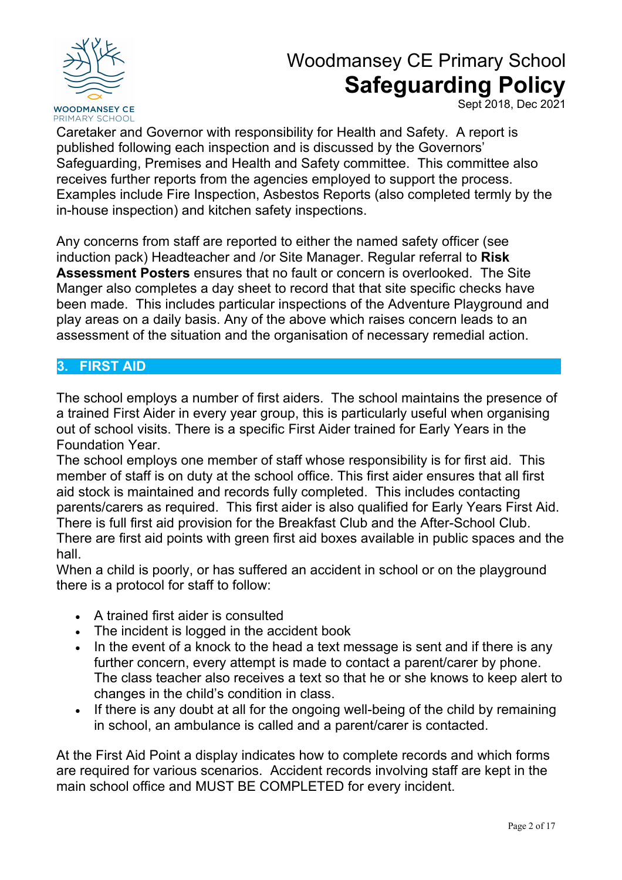

Sept 2018, Dec 2021

Caretaker and Governor with responsibility for Health and Safety. A report is published following each inspection and is discussed by the Governors' Safeguarding, Premises and Health and Safety committee. This committee also receives further reports from the agencies employed to support the process. Examples include Fire Inspection, Asbestos Reports (also completed termly by the in-house inspection) and kitchen safety inspections.

Any concerns from staff are reported to either the named safety officer (see induction pack) Headteacher and /or Site Manager. Regular referral to **Risk Assessment Posters** ensures that no fault or concern is overlooked. The Site Manger also completes a day sheet to record that that site specific checks have been made. This includes particular inspections of the Adventure Playground and play areas on a daily basis. Any of the above which raises concern leads to an assessment of the situation and the organisation of necessary remedial action.

### **3. FIRST AID**

The school employs a number of first aiders. The school maintains the presence of a trained First Aider in every year group, this is particularly useful when organising out of school visits. There is a specific First Aider trained for Early Years in the Foundation Year.

The school employs one member of staff whose responsibility is for first aid. This member of staff is on duty at the school office. This first aider ensures that all first aid stock is maintained and records fully completed. This includes contacting parents/carers as required. This first aider is also qualified for Early Years First Aid. There is full first aid provision for the Breakfast Club and the After-School Club. There are first aid points with green first aid boxes available in public spaces and the hall.

When a child is poorly, or has suffered an accident in school or on the playground there is a protocol for staff to follow:

- A trained first aider is consulted
- The incident is logged in the accident book
- In the event of a knock to the head a text message is sent and if there is any further concern, every attempt is made to contact a parent/carer by phone. The class teacher also receives a text so that he or she knows to keep alert to changes in the child's condition in class.
- If there is any doubt at all for the ongoing well-being of the child by remaining in school, an ambulance is called and a parent/carer is contacted.

At the First Aid Point a display indicates how to complete records and which forms are required for various scenarios. Accident records involving staff are kept in the main school office and MUST BE COMPLETED for every incident.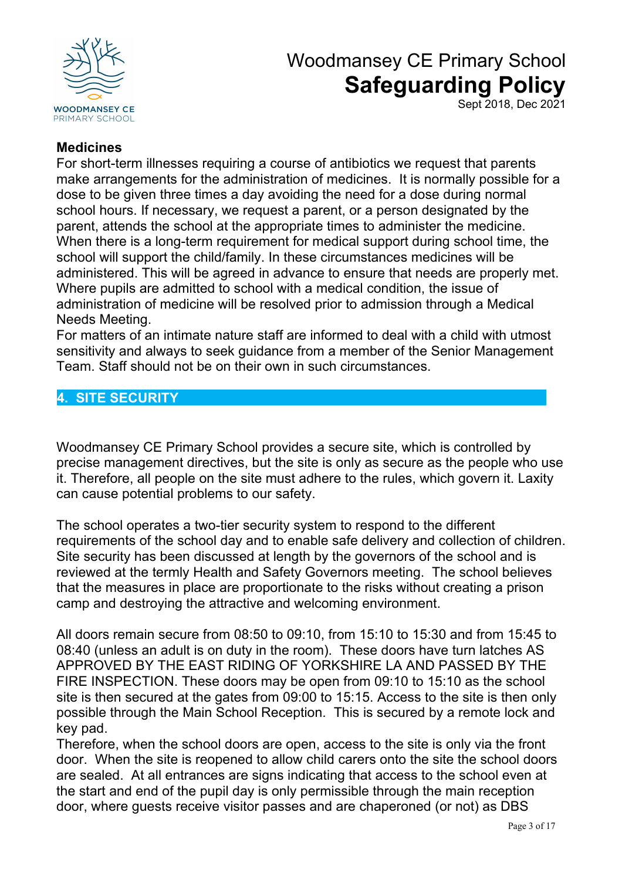

Sept 2018, Dec 2021

### **Medicines**

For short-term illnesses requiring a course of antibiotics we request that parents make arrangements for the administration of medicines. It is normally possible for a dose to be given three times a day avoiding the need for a dose during normal school hours. If necessary, we request a parent, or a person designated by the parent, attends the school at the appropriate times to administer the medicine. When there is a long-term requirement for medical support during school time, the school will support the child/family. In these circumstances medicines will be administered. This will be agreed in advance to ensure that needs are properly met. Where pupils are admitted to school with a medical condition, the issue of administration of medicine will be resolved prior to admission through a Medical Needs Meeting.

For matters of an intimate nature staff are informed to deal with a child with utmost sensitivity and always to seek guidance from a member of the Senior Management Team. Staff should not be on their own in such circumstances.

## **4. SITE SECURITY**

Woodmansey CE Primary School provides a secure site, which is controlled by precise management directives, but the site is only as secure as the people who use it. Therefore, all people on the site must adhere to the rules, which govern it. Laxity can cause potential problems to our safety.

The school operates a two-tier security system to respond to the different requirements of the school day and to enable safe delivery and collection of children. Site security has been discussed at length by the governors of the school and is reviewed at the termly Health and Safety Governors meeting. The school believes that the measures in place are proportionate to the risks without creating a prison camp and destroying the attractive and welcoming environment.

All doors remain secure from 08:50 to 09:10, from 15:10 to 15:30 and from 15:45 to 08:40 (unless an adult is on duty in the room). These doors have turn latches AS APPROVED BY THE EAST RIDING OF YORKSHIRE LA AND PASSED BY THE FIRE INSPECTION. These doors may be open from 09:10 to 15:10 as the school site is then secured at the gates from 09:00 to 15:15. Access to the site is then only possible through the Main School Reception. This is secured by a remote lock and key pad.

Therefore, when the school doors are open, access to the site is only via the front door. When the site is reopened to allow child carers onto the site the school doors are sealed. At all entrances are signs indicating that access to the school even at the start and end of the pupil day is only permissible through the main reception door, where guests receive visitor passes and are chaperoned (or not) as DBS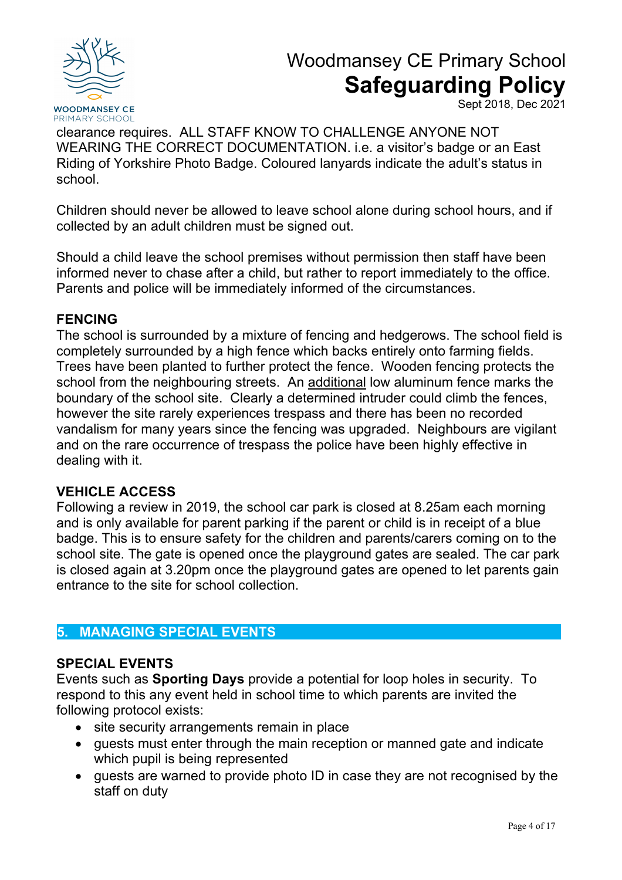

Sept 2018, Dec 2021

clearance requires. ALL STAFF KNOW TO CHALLENGE ANYONE NOT WEARING THE CORRECT DOCUMENTATION. i.e. a visitor's badge or an East Riding of Yorkshire Photo Badge. Coloured lanyards indicate the adult's status in school.

Children should never be allowed to leave school alone during school hours, and if collected by an adult children must be signed out.

Should a child leave the school premises without permission then staff have been informed never to chase after a child, but rather to report immediately to the office. Parents and police will be immediately informed of the circumstances.

### **FENCING**

The school is surrounded by a mixture of fencing and hedgerows. The school field is completely surrounded by a high fence which backs entirely onto farming fields. Trees have been planted to further protect the fence. Wooden fencing protects the school from the neighbouring streets. An additional low aluminum fence marks the boundary of the school site. Clearly a determined intruder could climb the fences, however the site rarely experiences trespass and there has been no recorded vandalism for many years since the fencing was upgraded. Neighbours are vigilant and on the rare occurrence of trespass the police have been highly effective in dealing with it.

#### **VEHICLE ACCESS**

Following a review in 2019, the school car park is closed at 8.25am each morning and is only available for parent parking if the parent or child is in receipt of a blue badge. This is to ensure safety for the children and parents/carers coming on to the school site. The gate is opened once the playground gates are sealed. The car park is closed again at 3.20pm once the playground gates are opened to let parents gain entrance to the site for school collection.

## **5. MANAGING SPECIAL EVENTS**

## **SPECIAL EVENTS**

Events such as **Sporting Days** provide a potential for loop holes in security. To respond to this any event held in school time to which parents are invited the following protocol exists:

- site security arrangements remain in place
- guests must enter through the main reception or manned gate and indicate which pupil is being represented
- guests are warned to provide photo ID in case they are not recognised by the staff on duty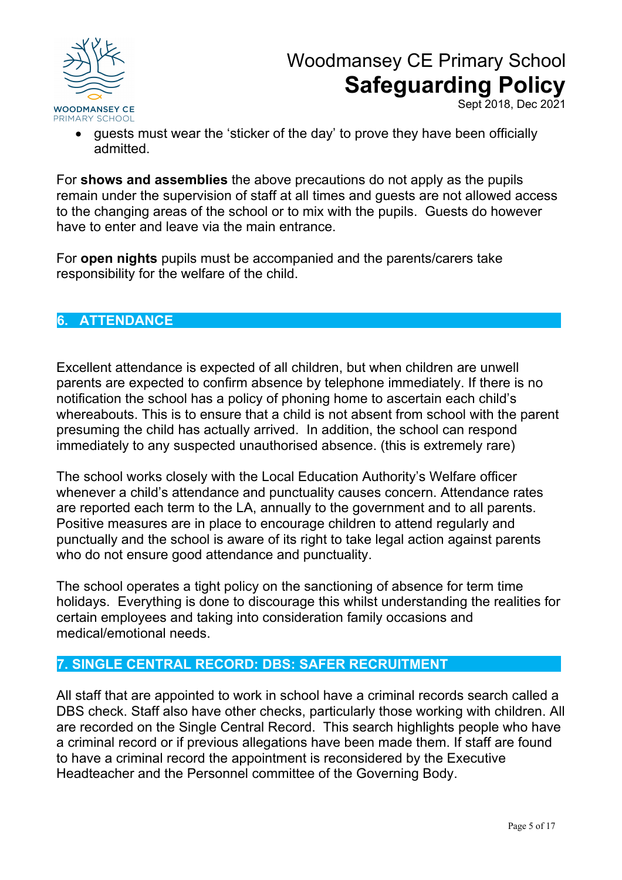

Sept 2018, Dec 2021

• guests must wear the 'sticker of the day' to prove they have been officially admitted.

For **shows and assemblies** the above precautions do not apply as the pupils remain under the supervision of staff at all times and guests are not allowed access to the changing areas of the school or to mix with the pupils. Guests do however have to enter and leave via the main entrance.

For **open nights** pupils must be accompanied and the parents/carers take responsibility for the welfare of the child.

## **6. ATTENDANCE**

Excellent attendance is expected of all children, but when children are unwell parents are expected to confirm absence by telephone immediately. If there is no notification the school has a policy of phoning home to ascertain each child's whereabouts. This is to ensure that a child is not absent from school with the parent presuming the child has actually arrived. In addition, the school can respond immediately to any suspected unauthorised absence. (this is extremely rare)

The school works closely with the Local Education Authority's Welfare officer whenever a child's attendance and punctuality causes concern. Attendance rates are reported each term to the LA, annually to the government and to all parents. Positive measures are in place to encourage children to attend regularly and punctually and the school is aware of its right to take legal action against parents who do not ensure good attendance and punctuality.

The school operates a tight policy on the sanctioning of absence for term time holidays. Everything is done to discourage this whilst understanding the realities for certain employees and taking into consideration family occasions and medical/emotional needs.

## **7. SINGLE CENTRAL RECORD: DBS: SAFER RECRUITMENT**

All staff that are appointed to work in school have a criminal records search called a DBS check. Staff also have other checks, particularly those working with children. All are recorded on the Single Central Record. This search highlights people who have a criminal record or if previous allegations have been made them. If staff are found to have a criminal record the appointment is reconsidered by the Executive Headteacher and the Personnel committee of the Governing Body.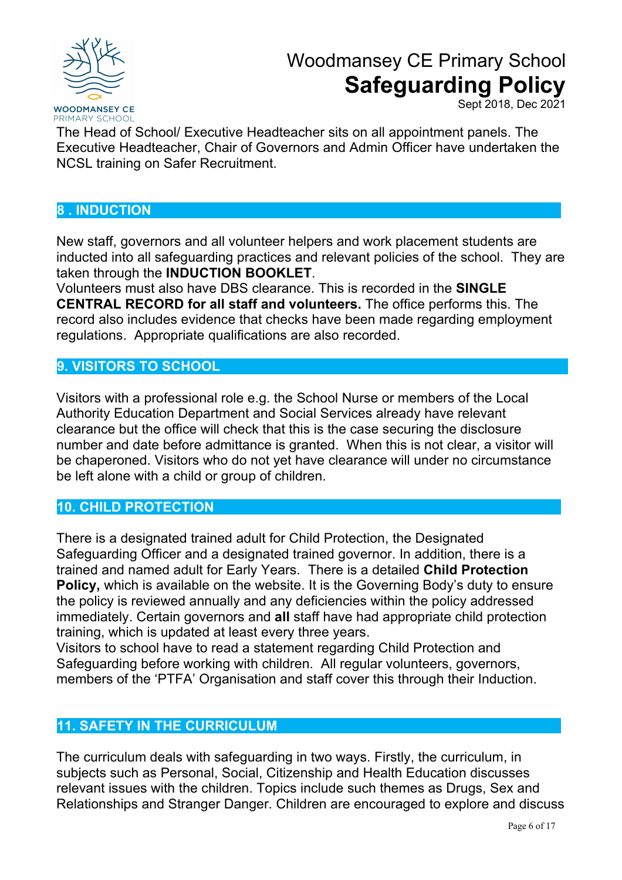

Sept 2018, Dec 2021

The Head of School/ Executive Headteacher sits on all appointment panels. The Executive Headteacher, Chair of Governors and Admin Officer have undertaken the NCSL training on Safer Recruitment.

#### **8 . INDUCTION**

New staff, governors and all volunteer helpers and work placement students are inducted into all safeguarding practices and relevant policies of the school. They are taken through the **INDUCTION BOOKLET**.

Volunteers must also have DBS clearance. This is recorded in the **SINGLE CENTRAL RECORD for all staff and volunteers.** The office performs this. The record also includes evidence that checks have been made regarding employment regulations. Appropriate qualifications are also recorded.

#### **9. VISITORS TO SCHOOL**

Visitors with a professional role e.g. the School Nurse or members of the Local Authority Education Department and Social Services already have relevant clearance but the office will check that this is the case securing the disclosure number and date before admittance is granted. When this is not clear, a visitor will be chaperoned. Visitors who do not yet have clearance will under no circumstance be left alone with a child or group of children.

## **10. CHILD PROTECTION**

There is a designated trained adult for Child Protection, the Designated Safeguarding Officer and a designated trained governor. In addition, there is a trained and named adult for Early Years. There is a detailed **Child Protection Policy,** which is available on the website. It is the Governing Body's duty to ensure the policy is reviewed annually and any deficiencies within the policy addressed immediately. Certain governors and **all** staff have had appropriate child protection training, which is updated at least every three years.

Visitors to school have to read a statement regarding Child Protection and Safeguarding before working with children. All regular volunteers, governors, members of the 'PTFA' Organisation and staff cover this through their Induction.

#### **11. SAFETY IN THE CURRICULUM**

The curriculum deals with safeguarding in two ways. Firstly, the curriculum, in subjects such as Personal, Social, Citizenship and Health Education discusses relevant issues with the children. Topics include such themes as Drugs, Sex and Relationships and Stranger Danger. Children are encouraged to explore and discuss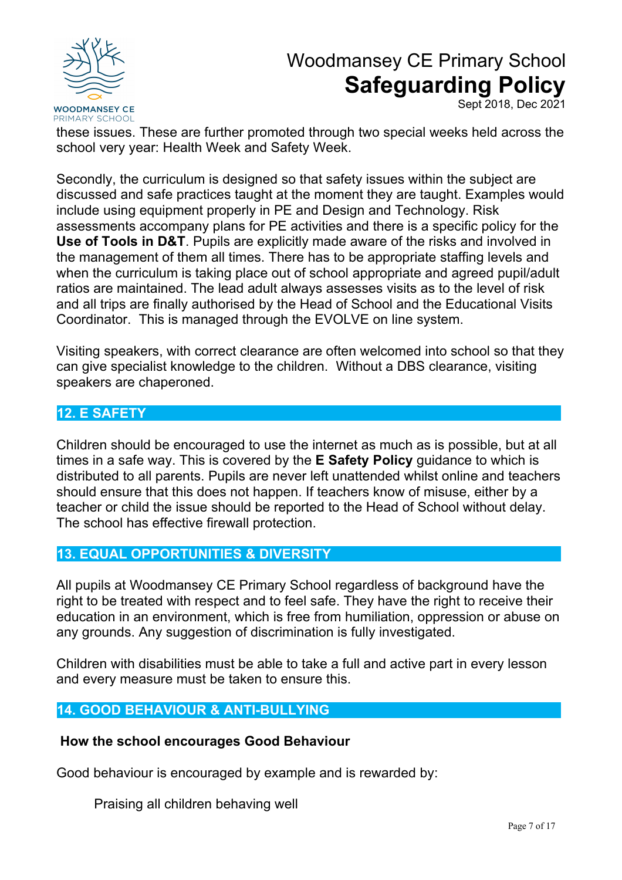

Sept 2018, Dec 2021

these issues. These are further promoted through two special weeks held across the school very year: Health Week and Safety Week.

Secondly, the curriculum is designed so that safety issues within the subject are discussed and safe practices taught at the moment they are taught. Examples would include using equipment properly in PE and Design and Technology. Risk assessments accompany plans for PE activities and there is a specific policy for the **Use of Tools in D&T**. Pupils are explicitly made aware of the risks and involved in the management of them all times. There has to be appropriate staffing levels and when the curriculum is taking place out of school appropriate and agreed pupil/adult ratios are maintained. The lead adult always assesses visits as to the level of risk and all trips are finally authorised by the Head of School and the Educational Visits Coordinator. This is managed through the EVOLVE on line system.

Visiting speakers, with correct clearance are often welcomed into school so that they can give specialist knowledge to the children. Without a DBS clearance, visiting speakers are chaperoned.

### **12. E SAFETY**

Children should be encouraged to use the internet as much as is possible, but at all times in a safe way. This is covered by the **E Safety Policy** guidance to which is distributed to all parents. Pupils are never left unattended whilst online and teachers should ensure that this does not happen. If teachers know of misuse, either by a teacher or child the issue should be reported to the Head of School without delay. The school has effective firewall protection.

#### **13. EQUAL OPPORTUNITIES & DIVERSITY**

All pupils at Woodmansey CE Primary School regardless of background have the right to be treated with respect and to feel safe. They have the right to receive their education in an environment, which is free from humiliation, oppression or abuse on any grounds. Any suggestion of discrimination is fully investigated.

Children with disabilities must be able to take a full and active part in every lesson and every measure must be taken to ensure this.

#### **14. GOOD BEHAVIOUR & ANTI-BULLYING**

#### **How the school encourages Good Behaviour**

Good behaviour is encouraged by example and is rewarded by:

Praising all children behaving well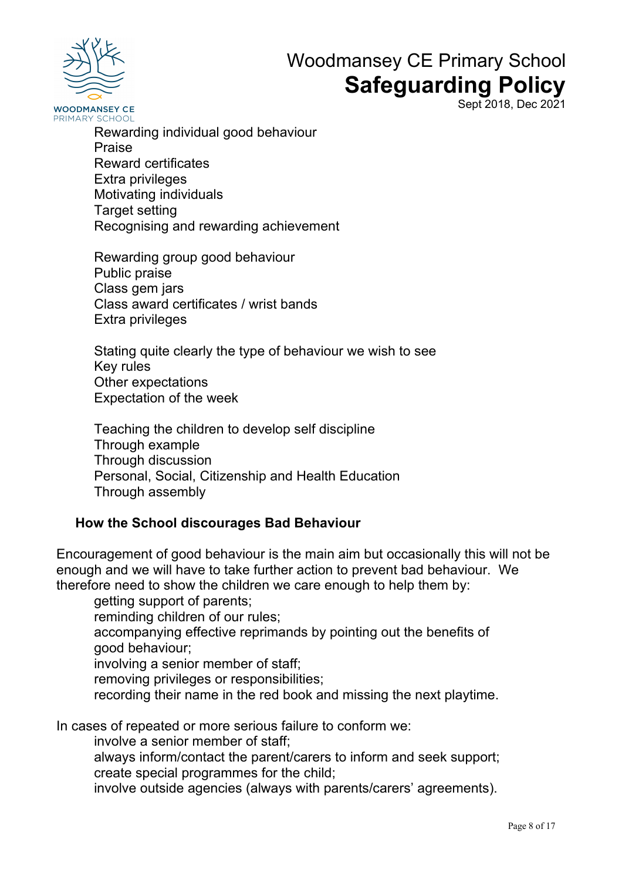

Sept 2018, Dec 2021

Rewarding individual good behaviour Praise Reward certificates Extra privileges Motivating individuals Target setting Recognising and rewarding achievement

Rewarding group good behaviour Public praise Class gem jars Class award certificates / wrist bands Extra privileges

Stating quite clearly the type of behaviour we wish to see Key rules Other expectations Expectation of the week

Teaching the children to develop self discipline Through example Through discussion Personal, Social, Citizenship and Health Education Through assembly

## **How the School discourages Bad Behaviour**

Encouragement of good behaviour is the main aim but occasionally this will not be enough and we will have to take further action to prevent bad behaviour. We therefore need to show the children we care enough to help them by:

getting support of parents;

reminding children of our rules;

accompanying effective reprimands by pointing out the benefits of good behaviour;

involving a senior member of staff;

removing privileges or responsibilities;

recording their name in the red book and missing the next playtime.

In cases of repeated or more serious failure to conform we:

involve a senior member of staff;

always inform/contact the parent/carers to inform and seek support; create special programmes for the child;

involve outside agencies (always with parents/carers' agreements).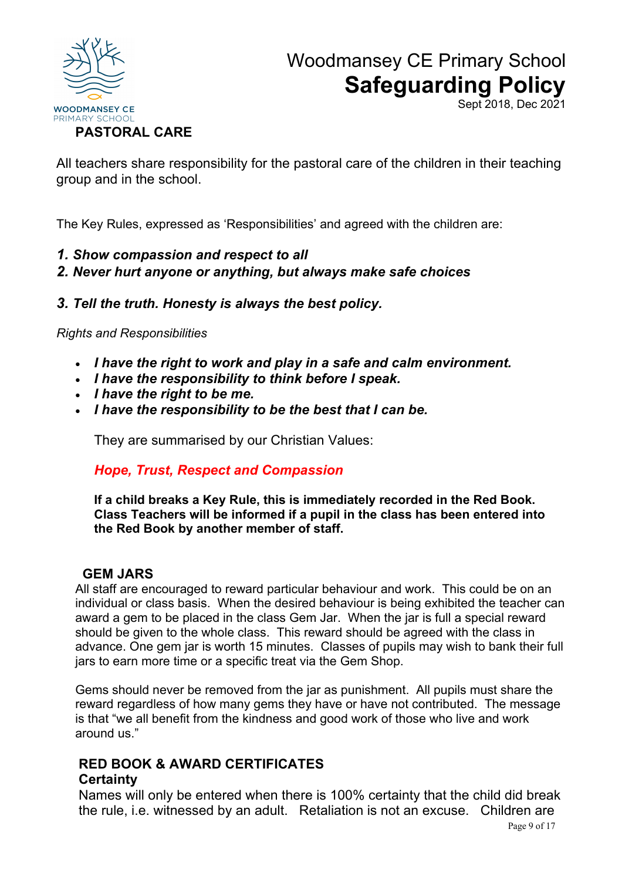

Sept 2018, Dec 2021

All teachers share responsibility for the pastoral care of the children in their teaching group and in the school.

The Key Rules, expressed as 'Responsibilities' and agreed with the children are:

- *1. Show compassion and respect to all*
- *2. Never hurt anyone or anything, but always make safe choices*
- *3. Tell the truth. Honesty is always the best policy.*

*Rights and Responsibilities* 

- *I have the right to work and play in a safe and calm environment.*
- *I have the responsibility to think before I speak.*
- *I have the right to be me.*
- *I have the responsibility to be the best that I can be.*

They are summarised by our Christian Values:

#### *Hope, Trust, Respect and Compassion*

**If a child breaks a Key Rule, this is immediately recorded in the Red Book. Class Teachers will be informed if a pupil in the class has been entered into the Red Book by another member of staff.** 

#### **GEM JARS**

All staff are encouraged to reward particular behaviour and work. This could be on an individual or class basis. When the desired behaviour is being exhibited the teacher can award a gem to be placed in the class Gem Jar. When the jar is full a special reward should be given to the whole class. This reward should be agreed with the class in advance. One gem jar is worth 15 minutes. Classes of pupils may wish to bank their full jars to earn more time or a specific treat via the Gem Shop.

Gems should never be removed from the jar as punishment. All pupils must share the reward regardless of how many gems they have or have not contributed. The message is that "we all benefit from the kindness and good work of those who live and work around us."

## **RED BOOK & AWARD CERTIFICATES**

#### **Certainty**

Names will only be entered when there is 100% certainty that the child did break the rule, i.e. witnessed by an adult. Retaliation is not an excuse. Children are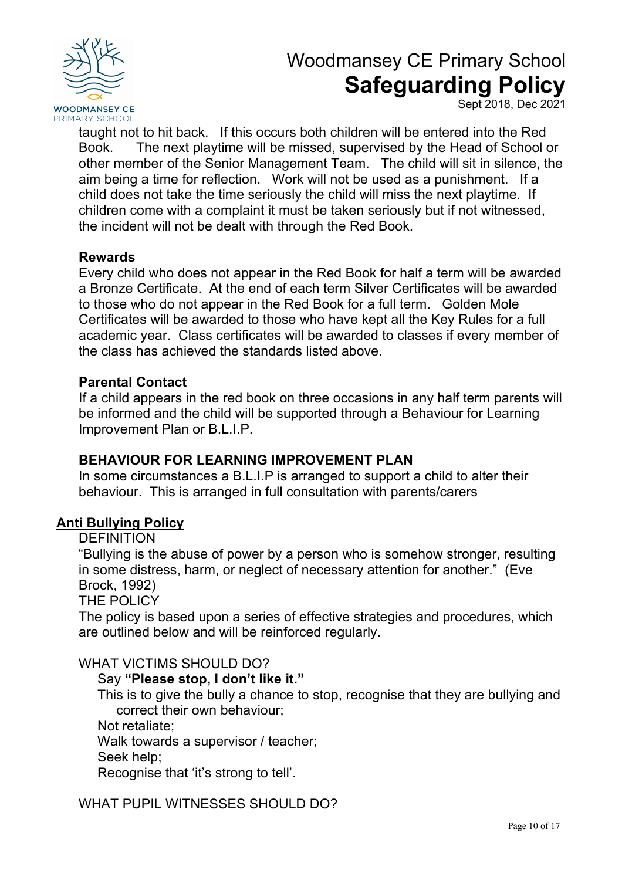

Sept 2018, Dec 2021

taught not to hit back. If this occurs both children will be entered into the Red Book. The next playtime will be missed, supervised by the Head of School or other member of the Senior Management Team. The child will sit in silence, the aim being a time for reflection. Work will not be used as a punishment. If a child does not take the time seriously the child will miss the next playtime. If children come with a complaint it must be taken seriously but if not witnessed, the incident will not be dealt with through the Red Book.

#### **Rewards**

Every child who does not appear in the Red Book for half a term will be awarded a Bronze Certificate. At the end of each term Silver Certificates will be awarded to those who do not appear in the Red Book for a full term. Golden Mole Certificates will be awarded to those who have kept all the Key Rules for a full academic year. Class certificates will be awarded to classes if every member of the class has achieved the standards listed above.

#### **Parental Contact**

If a child appears in the red book on three occasions in any half term parents will be informed and the child will be supported through a Behaviour for Learning Improvement Plan or B.L.I.P.

#### **BEHAVIOUR FOR LEARNING IMPROVEMENT PLAN**

In some circumstances a B.L.I.P is arranged to support a child to alter their behaviour. This is arranged in full consultation with parents/carers

#### **Anti Bullying Policy**

#### **DEFINITION**

"Bullying is the abuse of power by a person who is somehow stronger, resulting in some distress, harm, or neglect of necessary attention for another." (Eve Brock, 1992)

THE POLICY

The policy is based upon a series of effective strategies and procedures, which are outlined below and will be reinforced regularly.

#### WHAT VICTIMS SHOULD DO?

#### Say **"Please stop, I don't like it."**

This is to give the bully a chance to stop, recognise that they are bullying and correct their own behaviour;

Not retaliate;

Walk towards a supervisor / teacher:

Seek help;

Recognise that 'it's strong to tell'.

WHAT PUPIL WITNESSES SHOULD DO?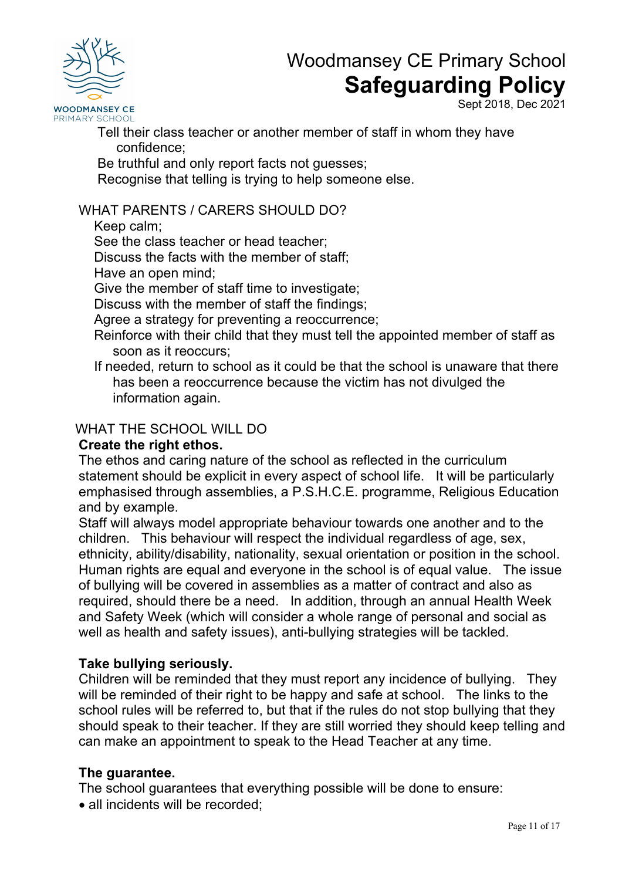

Sept 2018, Dec 2021

Tell their class teacher or another member of staff in whom they have confidence;

Be truthful and only report facts not guesses;

Recognise that telling is trying to help someone else.

### WHAT PARENTS / CARERS SHOULD DO?

Keep calm;

See the class teacher or head teacher;

Discuss the facts with the member of staff;

Have an open mind;

Give the member of staff time to investigate;

Discuss with the member of staff the findings;

Agree a strategy for preventing a reoccurrence;

- Reinforce with their child that they must tell the appointed member of staff as soon as it reoccurs;
- If needed, return to school as it could be that the school is unaware that there has been a reoccurrence because the victim has not divulged the information again.

## WHAT THE SCHOOL WILL DO

#### **Create the right ethos.**

The ethos and caring nature of the school as reflected in the curriculum statement should be explicit in every aspect of school life. It will be particularly emphasised through assemblies, a P.S.H.C.E. programme, Religious Education and by example.

Staff will always model appropriate behaviour towards one another and to the children. This behaviour will respect the individual regardless of age, sex, ethnicity, ability/disability, nationality, sexual orientation or position in the school. Human rights are equal and everyone in the school is of equal value. The issue of bullying will be covered in assemblies as a matter of contract and also as required, should there be a need. In addition, through an annual Health Week and Safety Week (which will consider a whole range of personal and social as well as health and safety issues), anti-bullying strategies will be tackled.

#### **Take bullying seriously.**

Children will be reminded that they must report any incidence of bullying. They will be reminded of their right to be happy and safe at school. The links to the school rules will be referred to, but that if the rules do not stop bullying that they should speak to their teacher. If they are still worried they should keep telling and can make an appointment to speak to the Head Teacher at any time.

#### **The guarantee.**

The school guarantees that everything possible will be done to ensure: • all incidents will be recorded;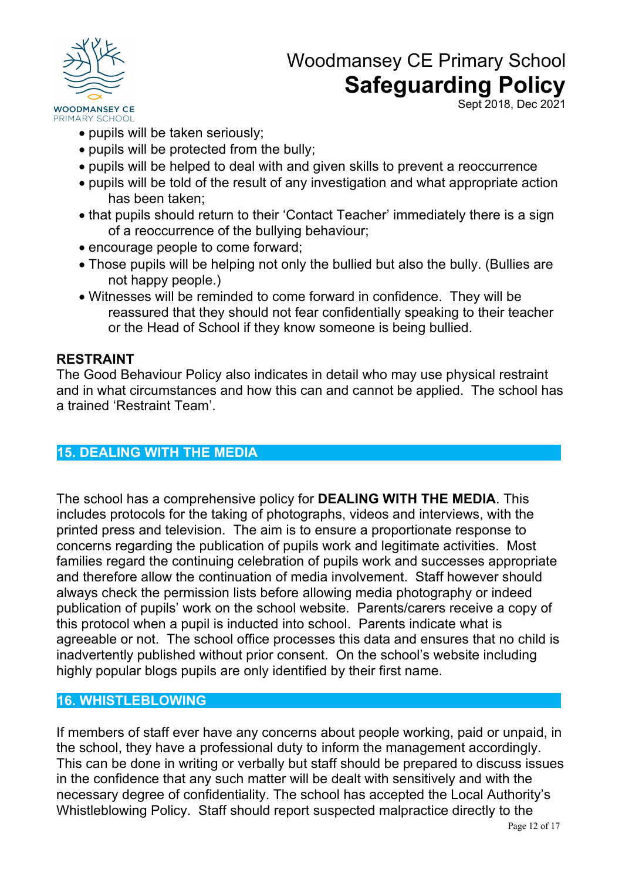

Sept 2018, Dec 2021

- pupils will be taken seriously;
- pupils will be protected from the bully;
- pupils will be helped to deal with and given skills to prevent a reoccurrence
- pupils will be told of the result of any investigation and what appropriate action has been taken;
- that pupils should return to their 'Contact Teacher' immediately there is a sign of a reoccurrence of the bullying behaviour;
- encourage people to come forward;
- Those pupils will be helping not only the bullied but also the bully. (Bullies are not happy people.)
- Witnesses will be reminded to come forward in confidence. They will be reassured that they should not fear confidentially speaking to their teacher or the Head of School if they know someone is being bullied.

#### **RESTRAINT**

The Good Behaviour Policy also indicates in detail who may use physical restraint and in what circumstances and how this can and cannot be applied. The school has a trained 'Restraint Team'.

### **15. DEALING WITH THE MEDIA**

The school has a comprehensive policy for **DEALING WITH THE MEDIA**. This includes protocols for the taking of photographs, videos and interviews, with the printed press and television. The aim is to ensure a proportionate response to concerns regarding the publication of pupils work and legitimate activities. Most families regard the continuing celebration of pupils work and successes appropriate and therefore allow the continuation of media involvement. Staff however should always check the permission lists before allowing media photography or indeed publication of pupils' work on the school website. Parents/carers receive a copy of this protocol when a pupil is inducted into school. Parents indicate what is agreeable or not. The school office processes this data and ensures that no child is inadvertently published without prior consent. On the school's website including highly popular blogs pupils are only identified by their first name.

#### **16. WHISTLEBLOWING**

If members of staff ever have any concerns about people working, paid or unpaid, in the school, they have a professional duty to inform the management accordingly. This can be done in writing or verbally but staff should be prepared to discuss issues in the confidence that any such matter will be dealt with sensitively and with the necessary degree of confidentiality. The school has accepted the Local Authority's Whistleblowing Policy. Staff should report suspected malpractice directly to the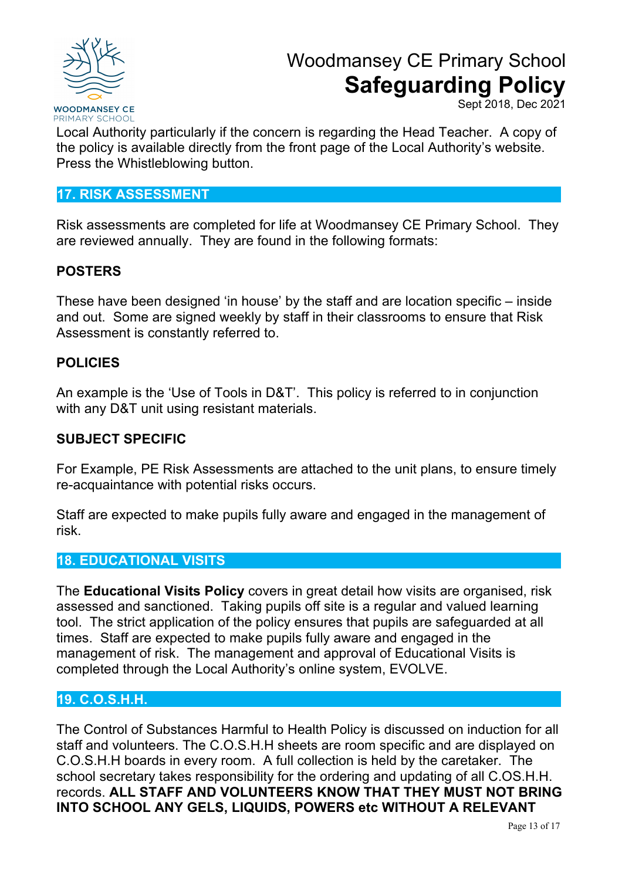

Sept 2018, Dec 2021

Local Authority particularly if the concern is regarding the Head Teacher. A copy of the policy is available directly from the front page of the Local Authority's website. Press the Whistleblowing button.

### **17. RISK ASSESSMENT**

Risk assessments are completed for life at Woodmansey CE Primary School. They are reviewed annually. They are found in the following formats:

#### **POSTERS**

These have been designed 'in house' by the staff and are location specific – inside and out. Some are signed weekly by staff in their classrooms to ensure that Risk Assessment is constantly referred to.

#### **POLICIES**

An example is the 'Use of Tools in D&T'. This policy is referred to in conjunction with any D&T unit using resistant materials.

### **SUBJECT SPECIFIC**

For Example, PE Risk Assessments are attached to the unit plans, to ensure timely re-acquaintance with potential risks occurs.

Staff are expected to make pupils fully aware and engaged in the management of risk.

#### **18. EDUCATIONAL VISITS**

The **Educational Visits Policy** covers in great detail how visits are organised, risk assessed and sanctioned. Taking pupils off site is a regular and valued learning tool. The strict application of the policy ensures that pupils are safeguarded at all times. Staff are expected to make pupils fully aware and engaged in the management of risk. The management and approval of Educational Visits is completed through the Local Authority's online system, EVOLVE.

### **19. C.O.S.H.H.**

The Control of Substances Harmful to Health Policy is discussed on induction for all staff and volunteers. The C.O.S.H.H sheets are room specific and are displayed on C.O.S.H.H boards in every room. A full collection is held by the caretaker. The school secretary takes responsibility for the ordering and updating of all C.OS.H.H. records. **ALL STAFF AND VOLUNTEERS KNOW THAT THEY MUST NOT BRING INTO SCHOOL ANY GELS, LIQUIDS, POWERS etc WITHOUT A RELEVANT**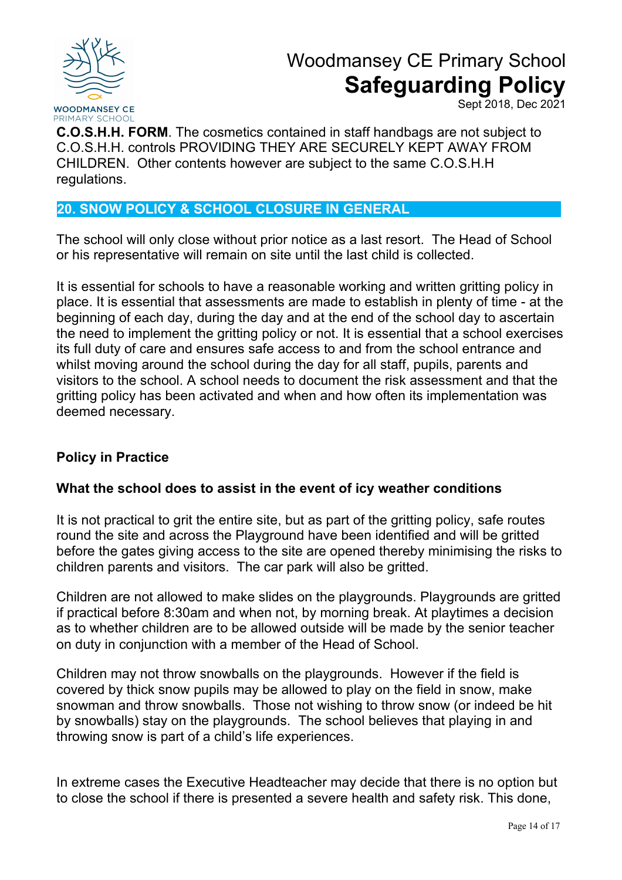

Sept 2018, Dec 2021

**C.O.S.H.H. FORM**. The cosmetics contained in staff handbags are not subject to C.O.S.H.H. controls PROVIDING THEY ARE SECURELY KEPT AWAY FROM CHILDREN. Other contents however are subject to the same C.O.S.H.H regulations.

### **20. SNOW POLICY & SCHOOL CLOSURE IN GENERAL**

The school will only close without prior notice as a last resort. The Head of School or his representative will remain on site until the last child is collected.

It is essential for schools to have a reasonable working and written gritting policy in place. It is essential that assessments are made to establish in plenty of time - at the beginning of each day, during the day and at the end of the school day to ascertain the need to implement the gritting policy or not. It is essential that a school exercises its full duty of care and ensures safe access to and from the school entrance and whilst moving around the school during the day for all staff, pupils, parents and visitors to the school. A school needs to document the risk assessment and that the gritting policy has been activated and when and how often its implementation was deemed necessary.

#### **Policy in Practice**

#### **What the school does to assist in the event of icy weather conditions**

It is not practical to grit the entire site, but as part of the gritting policy, safe routes round the site and across the Playground have been identified and will be gritted before the gates giving access to the site are opened thereby minimising the risks to children parents and visitors. The car park will also be gritted.

Children are not allowed to make slides on the playgrounds. Playgrounds are gritted if practical before 8:30am and when not, by morning break. At playtimes a decision as to whether children are to be allowed outside will be made by the senior teacher on duty in conjunction with a member of the Head of School.

Children may not throw snowballs on the playgrounds. However if the field is covered by thick snow pupils may be allowed to play on the field in snow, make snowman and throw snowballs. Those not wishing to throw snow (or indeed be hit by snowballs) stay on the playgrounds. The school believes that playing in and throwing snow is part of a child's life experiences.

In extreme cases the Executive Headteacher may decide that there is no option but to close the school if there is presented a severe health and safety risk. This done,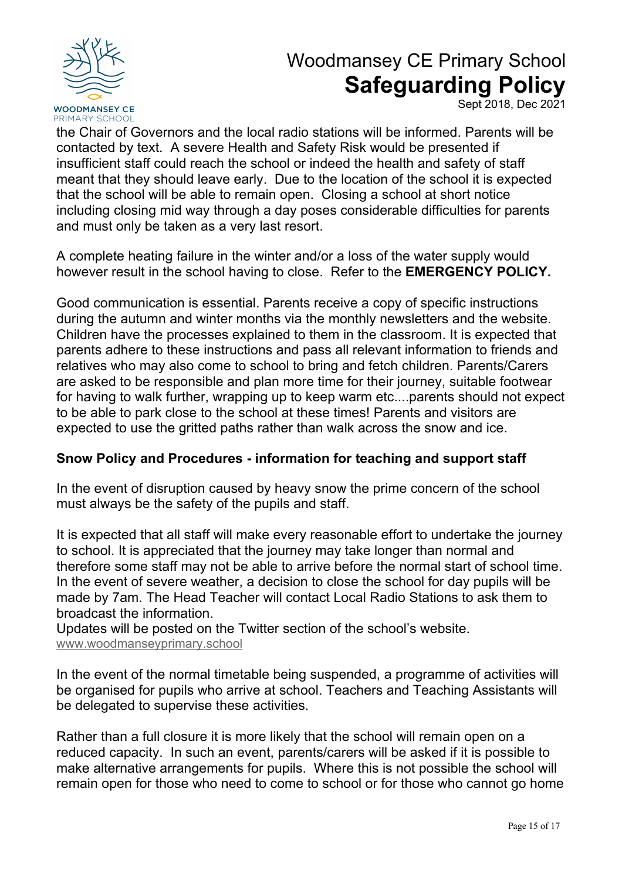

Sept 2018, Dec 2021

the Chair of Governors and the local radio stations will be informed. Parents will be contacted by text. A severe Health and Safety Risk would be presented if insufficient staff could reach the school or indeed the health and safety of staff meant that they should leave early. Due to the location of the school it is expected that the school will be able to remain open. Closing a school at short notice including closing mid way through a day poses considerable difficulties for parents and must only be taken as a very last resort.

A complete heating failure in the winter and/or a loss of the water supply would however result in the school having to close. Refer to the **EMERGENCY POLICY.**

Good communication is essential. Parents receive a copy of specific instructions during the autumn and winter months via the monthly newsletters and the website. Children have the processes explained to them in the classroom. It is expected that parents adhere to these instructions and pass all relevant information to friends and relatives who may also come to school to bring and fetch children. Parents/Carers are asked to be responsible and plan more time for their journey, suitable footwear for having to walk further, wrapping up to keep warm etc....parents should not expect to be able to park close to the school at these times! Parents and visitors are expected to use the gritted paths rather than walk across the snow and ice.

## **Snow Policy and Procedures - information for teaching and support staff**

In the event of disruption caused by heavy snow the prime concern of the school must always be the safety of the pupils and staff.

It is expected that all staff will make every reasonable effort to undertake the journey to school. It is appreciated that the journey may take longer than normal and therefore some staff may not be able to arrive before the normal start of school time. In the event of severe weather, a decision to close the school for day pupils will be made by 7am. The Head Teacher will contact Local Radio Stations to ask them to broadcast the information.

Updates will be posted on the Twitter section of the school's website. www.woodmanseyprimary.school

In the event of the normal timetable being suspended, a programme of activities will be organised for pupils who arrive at school. Teachers and Teaching Assistants will be delegated to supervise these activities.

Rather than a full closure it is more likely that the school will remain open on a reduced capacity. In such an event, parents/carers will be asked if it is possible to make alternative arrangements for pupils. Where this is not possible the school will remain open for those who need to come to school or for those who cannot go home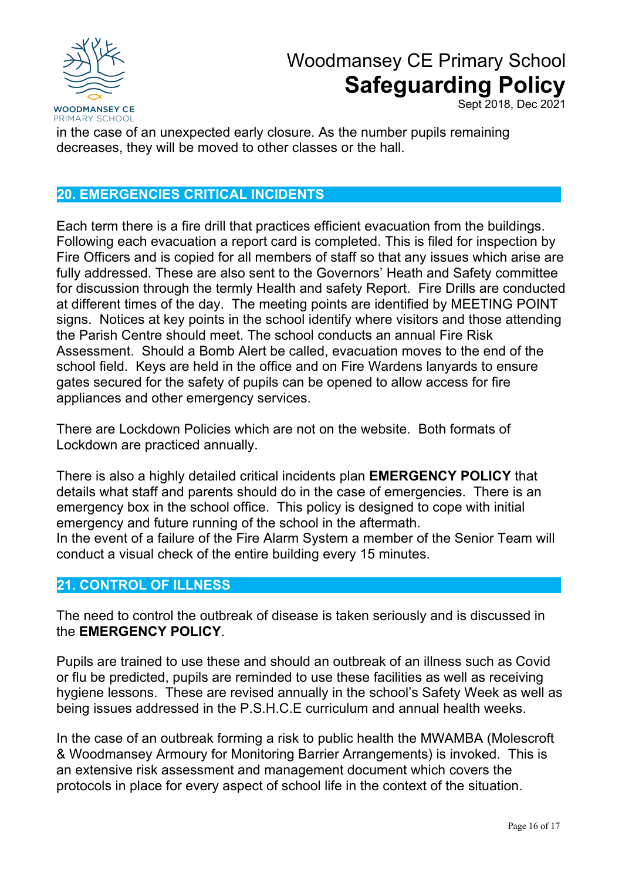

Sept 2018, Dec 2021

in the case of an unexpected early closure. As the number pupils remaining decreases, they will be moved to other classes or the hall.

## **20. EMERGENCIES CRITICAL INCIDENTS**

Each term there is a fire drill that practices efficient evacuation from the buildings. Following each evacuation a report card is completed. This is filed for inspection by Fire Officers and is copied for all members of staff so that any issues which arise are fully addressed. These are also sent to the Governors' Heath and Safety committee for discussion through the termly Health and safety Report. Fire Drills are conducted at different times of the day. The meeting points are identified by MEETING POINT signs. Notices at key points in the school identify where visitors and those attending the Parish Centre should meet. The school conducts an annual Fire Risk Assessment. Should a Bomb Alert be called, evacuation moves to the end of the school field. Keys are held in the office and on Fire Wardens lanyards to ensure gates secured for the safety of pupils can be opened to allow access for fire appliances and other emergency services.

There are Lockdown Policies which are not on the website. Both formats of Lockdown are practiced annually.

There is also a highly detailed critical incidents plan **EMERGENCY POLICY** that details what staff and parents should do in the case of emergencies. There is an emergency box in the school office. This policy is designed to cope with initial emergency and future running of the school in the aftermath.

In the event of a failure of the Fire Alarm System a member of the Senior Team will conduct a visual check of the entire building every 15 minutes.

#### **21. CONTROL OF ILLNESS**

The need to control the outbreak of disease is taken seriously and is discussed in the **EMERGENCY POLICY**.

Pupils are trained to use these and should an outbreak of an illness such as Covid or flu be predicted, pupils are reminded to use these facilities as well as receiving hygiene lessons. These are revised annually in the school's Safety Week as well as being issues addressed in the P.S.H.C.E curriculum and annual health weeks.

In the case of an outbreak forming a risk to public health the MWAMBA (Molescroft & Woodmansey Armoury for Monitoring Barrier Arrangements) is invoked. This is an extensive risk assessment and management document which covers the protocols in place for every aspect of school life in the context of the situation.